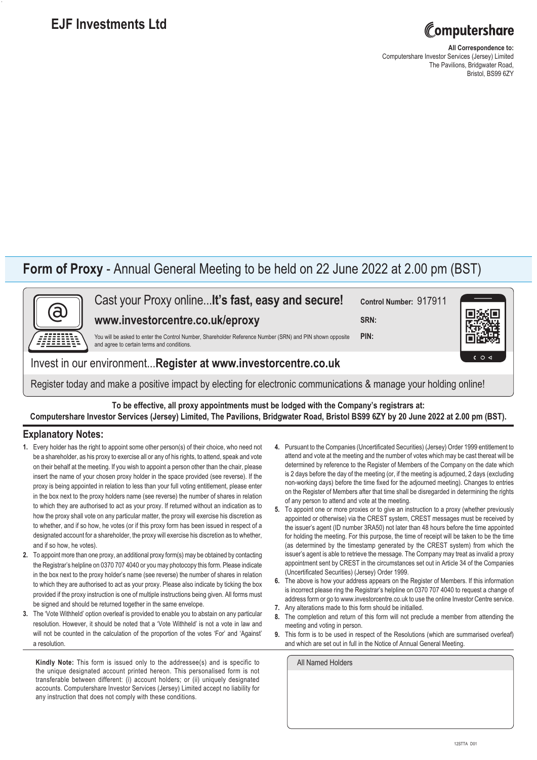## **EJF Investments Ltd**



**All Correspondence to:** Computershare Investor Services (Jersey) Limited The Pavilions, Bridgwater Road, Bristol, BS99 6ZY

## **Form of Proxy** - Annual General Meeting to be held on 22 June 2022 at 2.00 pm (BST)



Cast your Proxy online...**It's fast, easy and secure!**

**www.investorcentre.co.uk/eproxy**

**Control Number:** 917911

**SRN:**

You will be asked to enter the Control Number, Shareholder Reference Number (SRN) and PIN shown opposite and agree to certain terms and conditions. **PIN:**

Invest in our environment...**Register at www.investorcentre.co.uk**

Register today and make a positive impact by electing for electronic communications & manage your holding online!

**To be effective, all proxy appointments must be lodged with the Company's registrars at: Computershare Investor Services (Jersey) Limited, The Pavilions, Bridgwater Road, Bristol BS99 6ZY by 20 June 2022 at 2.00 pm (BST).**

## **Explanatory Notes:**

- **1.** Every holder has the right to appoint some other person(s) of their choice, who need not be a shareholder, as his proxy to exercise all or any of his rights, to attend, speak and vote on their behalf at the meeting. If you wish to appoint a person other than the chair, please insert the name of your chosen proxy holder in the space provided (see reverse). If the proxy is being appointed in relation to less than your full voting entitlement, please enter in the box next to the proxy holders name (see reverse) the number of shares in relation to which they are authorised to act as your proxy. If returned without an indication as to how the proxy shall vote on any particular matter, the proxy will exercise his discretion as to whether, and if so how, he votes (or if this proxy form has been issued in respect of a designated account for a shareholder, the proxy will exercise his discretion as to whether, and if so how, he votes).
- **2.** To appoint more than one proxy, an additional proxy form(s) may be obtained by contacting the Registrar's helpline on 0370 707 4040 or you may photocopy this form. Please indicate in the box next to the proxy holder's name (see reverse) the number of shares in relation to which they are authorised to act as your proxy. Please also indicate by ticking the box provided if the proxy instruction is one of multiple instructions being given. All forms must be signed and should be returned together in the same envelope.
- **3.** The 'Vote Withheld' option overleaf is provided to enable you to abstain on any particular resolution. However, it should be noted that a 'Vote Withheld' is not a vote in law and will not be counted in the calculation of the proportion of the votes 'For' and 'Against' a resolution.

Kindly Note: This form is issued only to the addressee(s) and is specific to the unique designated account printed hereon. This personalised form is not transferable between different: (i) account holders; or (ii) uniquely designated accounts. Computershare Investor Services (Jersey) Limited accept no liability for any instruction that does not comply with these conditions.

- **4.** Pursuant to the Companies (Uncertificated Securities) (Jersey) Order 1999 entitlement to attend and vote at the meeting and the number of votes which may be cast thereat will be determined by reference to the Register of Members of the Company on the date which is 2 days before the day of the meeting (or, if the meeting is adjourned, 2 days (excluding non-working days) before the time fixed for the adjourned meeting). Changes to entries on the Register of Members after that time shall be disregarded in determining the rights of any person to attend and vote at the meeting.
- **5.** To appoint one or more proxies or to give an instruction to a proxy (whether previously appointed or otherwise) via the CREST system, CREST messages must be received by the issuer's agent (ID number 3RA50) not later than 48 hours before the time appointed for holding the meeting. For this purpose, the time of receipt will be taken to be the time (as determined by the timestamp generated by the CREST system) from which the issuer's agent is able to retrieve the message. The Company may treat as invalid a proxy appointment sent by CREST in the circumstances set out in Article 34 of the Companies (Uncertificated Securities) (Jersey) Order 1999.
- **6.** The above is how your address appears on the Register of Members. If this information is incorrect please ring the Registrar's helpline on 0370 707 4040 to request a change of address form or go to www.investorcentre.co.uk to use the online Investor Centre service.
- **7.** Any alterations made to this form should be initialled.
- **8.** The completion and return of this form will not preclude a member from attending the meeting and voting in person.
- **9.** This form is to be used in respect of the Resolutions (which are summarised overleaf) and which are set out in full in the Notice of Annual General Meeting.

| All Named Holders |
|-------------------|
|                   |
|                   |
|                   |
|                   |